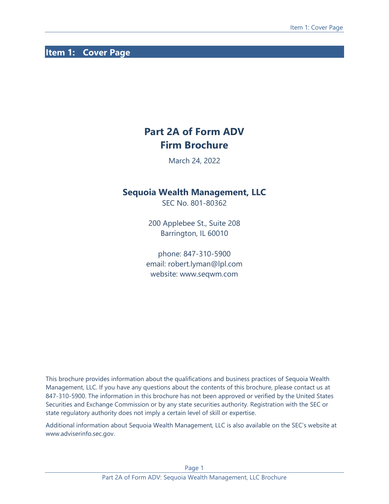# <span id="page-0-0"></span>**Item 1: Cover Page**

# **Part 2A of Form ADV Firm Brochure**

March 24, 2022

## **Sequoia Wealth Management, LLC**

SEC No. 801-80362

200 Applebee St., Suite 208 Barrington, IL 60010

phone: 847-310-5900 email: robert.lyman@lpl.com website: www.seqwm.com

This brochure provides information about the qualifications and business practices of Sequoia Wealth Management, LLC. If you have any questions about the contents of this brochure, please contact us at 847-310-5900. The information in this brochure has not been approved or verified by the United States Securities and Exchange Commission or by any state securities authority. Registration with the SEC or state regulatory authority does not imply a certain level of skill or expertise.

Additional information about Sequoia Wealth Management, LLC is also available on the SEC's website at www.adviserinfo.sec.gov.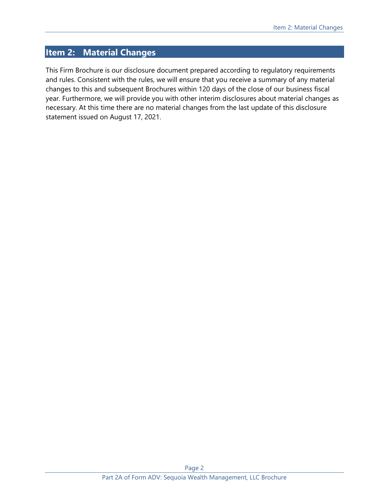## <span id="page-1-0"></span>**Item 2: Material Changes**

This Firm Brochure is our disclosure document prepared according to regulatory requirements and rules. Consistent with the rules, we will ensure that you receive a summary of any material changes to this and subsequent Brochures within 120 days of the close of our business fiscal year. Furthermore, we will provide you with other interim disclosures about material changes as necessary. At this time there are no material changes from the last update of this disclosure statement issued on August 17, 2021.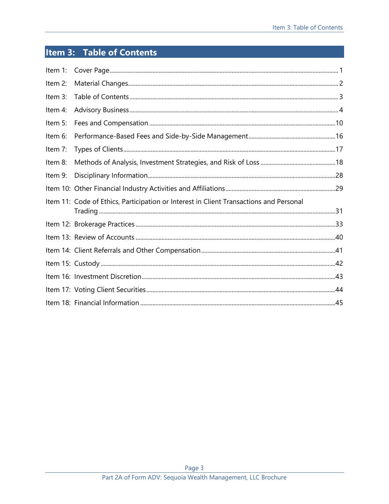# <span id="page-2-0"></span>Item 3: Table of Contents

| Item $1$ : |                                                                                        |  |
|------------|----------------------------------------------------------------------------------------|--|
| Item 2:    |                                                                                        |  |
| Item 3:    |                                                                                        |  |
| Item 4:    |                                                                                        |  |
| Item 5:    |                                                                                        |  |
| Item 6:    |                                                                                        |  |
| Item 7:    |                                                                                        |  |
| Item 8:    |                                                                                        |  |
| Item 9:    |                                                                                        |  |
|            |                                                                                        |  |
|            | Item 11: Code of Ethics, Participation or Interest in Client Transactions and Personal |  |
|            |                                                                                        |  |
|            |                                                                                        |  |
|            |                                                                                        |  |
|            |                                                                                        |  |
|            |                                                                                        |  |
|            |                                                                                        |  |
|            |                                                                                        |  |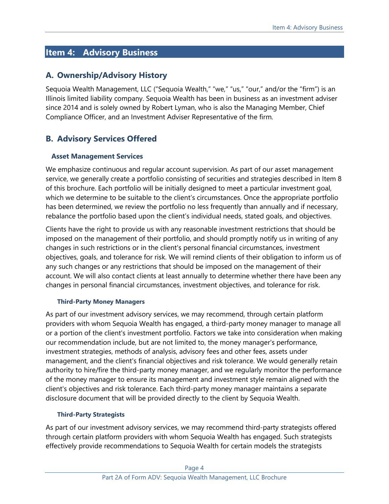# <span id="page-3-0"></span>**Item 4: Advisory Business**

## **A. Ownership/Advisory History**

Sequoia Wealth Management, LLC ("Sequoia Wealth," "we," "us," "our," and/or the "firm") is an Illinois limited liability company. Sequoia Wealth has been in business as an investment adviser since 2014 and is solely owned by Robert Lyman, who is also the Managing Member, Chief Compliance Officer, and an Investment Adviser Representative of the firm.

# **B. Advisory Services Offered**

## **Asset Management Services**

We emphasize continuous and regular account supervision. As part of our asset management service, we generally create a portfolio consisting of securities and strategies described in Item 8 of this brochure. Each portfolio will be initially designed to meet a particular investment goal, which we determine to be suitable to the client's circumstances. Once the appropriate portfolio has been determined, we review the portfolio no less frequently than annually and if necessary, rebalance the portfolio based upon the client's individual needs, stated goals, and objectives.

Clients have the right to provide us with any reasonable investment restrictions that should be imposed on the management of their portfolio, and should promptly notify us in writing of any changes in such restrictions or in the client's personal financial circumstances, investment objectives, goals, and tolerance for risk. We will remind clients of their obligation to inform us of any such changes or any restrictions that should be imposed on the management of their account. We will also contact clients at least annually to determine whether there have been any changes in personal financial circumstances, investment objectives, and tolerance for risk.

### **Third-Party Money Managers**

As part of our investment advisory services, we may recommend, through certain platform providers with whom Sequoia Wealth has engaged, a third-party money manager to manage all or a portion of the client's investment portfolio. Factors we take into consideration when making our recommendation include, but are not limited to, the money manager's performance, investment strategies, methods of analysis, advisory fees and other fees, assets under management, and the client's financial objectives and risk tolerance. We would generally retain authority to hire/fire the third-party money manager, and we regularly monitor the performance of the money manager to ensure its management and investment style remain aligned with the client's objectives and risk tolerance. Each third-party money manager maintains a separate disclosure document that will be provided directly to the client by Sequoia Wealth.

### **Third-Party Strategists**

As part of our investment advisory services, we may recommend third-party strategists offered through certain platform providers with whom Sequoia Wealth has engaged. Such strategists effectively provide recommendations to Sequoia Wealth for certain models the strategists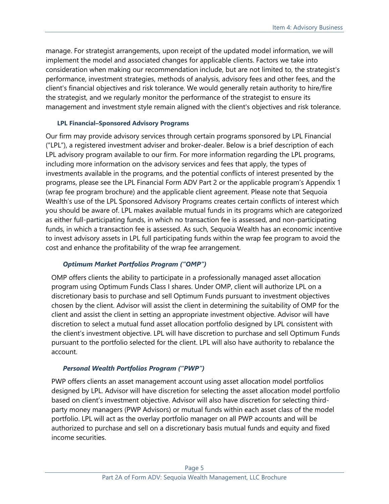manage. For strategist arrangements, upon receipt of the updated model information, we will implement the model and associated changes for applicable clients. Factors we take into consideration when making our recommendation include, but are not limited to, the strategist's performance, investment strategies, methods of analysis, advisory fees and other fees, and the client's financial objectives and risk tolerance. We would generally retain authority to hire/fire the strategist, and we regularly monitor the performance of the strategist to ensure its management and investment style remain aligned with the client's objectives and risk tolerance.

### **LPL Financial–Sponsored Advisory Programs**

Our firm may provide advisory services through certain programs sponsored by LPL Financial ("LPL"), a registered investment adviser and broker-dealer. Below is a brief description of each LPL advisory program available to our firm. For more information regarding the LPL programs, including more information on the advisory services and fees that apply, the types of investments available in the programs, and the potential conflicts of interest presented by the programs, please see the LPL Financial Form ADV Part 2 or the applicable program's Appendix 1 (wrap fee program brochure) and the applicable client agreement. Please note that Sequoia Wealth's use of the LPL Sponsored Advisory Programs creates certain conflicts of interest which you should be aware of. LPL makes available mutual funds in its programs which are categorized as either full-participating funds, in which no transaction fee is assessed, and non-participating funds, in which a transaction fee is assessed. As such, Sequoia Wealth has an economic incentive to invest advisory assets in LPL full participating funds within the wrap fee program to avoid the cost and enhance the profitability of the wrap fee arrangement.

### *Optimum Market Portfolios Program ("OMP")*

OMP offers clients the ability to participate in a professionally managed asset allocation program using Optimum Funds Class I shares. Under OMP, client will authorize LPL on a discretionary basis to purchase and sell Optimum Funds pursuant to investment objectives chosen by the client. Advisor will assist the client in determining the suitability of OMP for the client and assist the client in setting an appropriate investment objective. Advisor will have discretion to select a mutual fund asset allocation portfolio designed by LPL consistent with the client's investment objective. LPL will have discretion to purchase and sell Optimum Funds pursuant to the portfolio selected for the client. LPL will also have authority to rebalance the account.

### *Personal Wealth Portfolios Program ("PWP")*

PWP offers clients an asset management account using asset allocation model portfolios designed by LPL. Advisor will have discretion for selecting the asset allocation model portfolio based on client's investment objective. Advisor will also have discretion for selecting thirdparty money managers (PWP Advisors) or mutual funds within each asset class of the model portfolio. LPL will act as the overlay portfolio manager on all PWP accounts and will be authorized to purchase and sell on a discretionary basis mutual funds and equity and fixed income securities.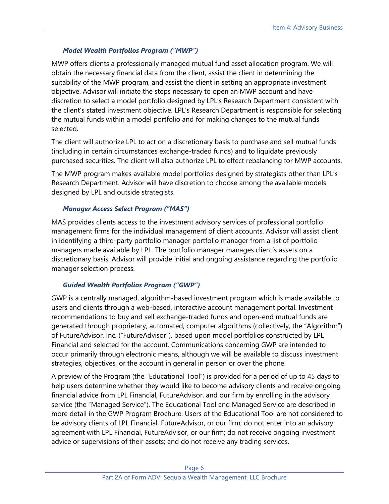### *Model Wealth Portfolios Program ("MWP")*

MWP offers clients a professionally managed mutual fund asset allocation program. We will obtain the necessary financial data from the client, assist the client in determining the suitability of the MWP program, and assist the client in setting an appropriate investment objective. Advisor will initiate the steps necessary to open an MWP account and have discretion to select a model portfolio designed by LPL's Research Department consistent with the client's stated investment objective. LPL's Research Department is responsible for selecting the mutual funds within a model portfolio and for making changes to the mutual funds selected.

The client will authorize LPL to act on a discretionary basis to purchase and sell mutual funds (including in certain circumstances exchange-traded funds) and to liquidate previously purchased securities. The client will also authorize LPL to effect rebalancing for MWP accounts.

The MWP program makes available model portfolios designed by strategists other than LPL's Research Department. Advisor will have discretion to choose among the available models designed by LPL and outside strategists.

### *Manager Access Select Program ("MAS")*

MAS provides clients access to the investment advisory services of professional portfolio management firms for the individual management of client accounts. Advisor will assist client in identifying a third-party portfolio manager portfolio manager from a list of portfolio managers made available by LPL. The portfolio manager manages client's assets on a discretionary basis. Advisor will provide initial and ongoing assistance regarding the portfolio manager selection process.

## *Guided Wealth Portfolios Program ("GWP")*

GWP is a centrally managed, algorithm-based investment program which is made available to users and clients through a web-based, interactive account management portal. Investment recommendations to buy and sell exchange-traded funds and open-end mutual funds are generated through proprietary, automated, computer algorithms (collectively, the "Algorithm") of FutureAdvisor, Inc. ("FutureAdvisor"), based upon model portfolios constructed by LPL Financial and selected for the account. Communications concerning GWP are intended to occur primarily through electronic means, although we will be available to discuss investment strategies, objectives, or the account in general in person or over the phone.

A preview of the Program (the "Educational Tool") is provided for a period of up to 45 days to help users determine whether they would like to become advisory clients and receive ongoing financial advice from LPL Financial, FutureAdvisor, and our firm by enrolling in the advisory service (the "Managed Service"). The Educational Tool and Managed Service are described in more detail in the GWP Program Brochure. Users of the Educational Tool are not considered to be advisory clients of LPL Financial, FutureAdvisor, or our firm; do not enter into an advisory agreement with LPL Financial, FutureAdvisor, or our firm; do not receive ongoing investment advice or supervisions of their assets; and do not receive any trading services.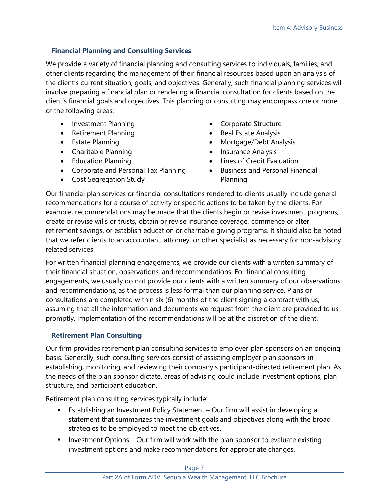## **Financial Planning and Consulting Services**

We provide a variety of financial planning and consulting services to individuals, families, and other clients regarding the management of their financial resources based upon an analysis of the client's current situation, goals, and objectives. Generally, such financial planning services will involve preparing a financial plan or rendering a financial consultation for clients based on the client's financial goals and objectives. This planning or consulting may encompass one or more of the following areas:

- Investment Planning
- Retirement Planning
- Estate Planning
- Charitable Planning
- Education Planning
- Corporate and Personal Tax Planning
- Cost Segregation Study
- Corporate Structure
- Real Estate Analysis
- Mortgage/Debt Analysis
- Insurance Analysis
- Lines of Credit Evaluation
- Business and Personal Financial Planning

Our financial plan services or financial consultations rendered to clients usually include general recommendations for a course of activity or specific actions to be taken by the clients. For example, recommendations may be made that the clients begin or revise investment programs, create or revise wills or trusts, obtain or revise insurance coverage, commence or alter retirement savings, or establish education or charitable giving programs. It should also be noted that we refer clients to an accountant, attorney, or other specialist as necessary for non-advisory related services.

For written financial planning engagements, we provide our clients with a written summary of their financial situation, observations, and recommendations. For financial consulting engagements, we usually do not provide our clients with a written summary of our observations and recommendations, as the process is less formal than our planning service. Plans or consultations are completed within six (6) months of the client signing a contract with us, assuming that all the information and documents we request from the client are provided to us promptly. Implementation of the recommendations will be at the discretion of the client.

## **Retirement Plan Consulting**

Our firm provides retirement plan consulting services to employer plan sponsors on an ongoing basis. Generally, such consulting services consist of assisting employer plan sponsors in establishing, monitoring, and reviewing their company's participant-directed retirement plan. As the needs of the plan sponsor dictate, areas of advising could include investment options, plan structure, and participant education.

Retirement plan consulting services typically include:

- Establishing an Investment Policy Statement Our firm will assist in developing a statement that summarizes the investment goals and objectives along with the broad strategies to be employed to meet the objectives.
- $\blacksquare$  Investment Options Our firm will work with the plan sponsor to evaluate existing investment options and make recommendations for appropriate changes.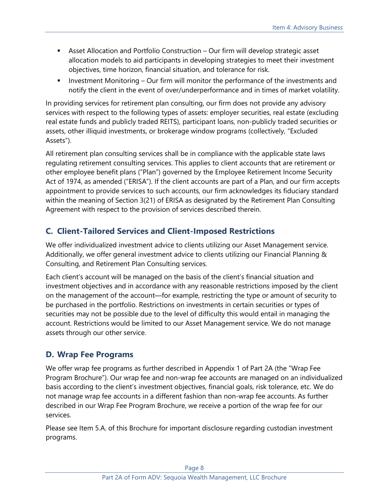- **■** Asset Allocation and Portfolio Construction Our firm will develop strategic asset allocation models to aid participants in developing strategies to meet their investment objectives, time horizon, financial situation, and tolerance for risk.
- Investment Monitoring Our firm will monitor the performance of the investments and notify the client in the event of over/underperformance and in times of market volatility.

In providing services for retirement plan consulting, our firm does not provide any advisory services with respect to the following types of assets: employer securities, real estate (excluding real estate funds and publicly traded REITS), participant loans, non-publicly traded securities or assets, other illiquid investments, or brokerage window programs (collectively, "Excluded Assets").

All retirement plan consulting services shall be in compliance with the applicable state laws regulating retirement consulting services. This applies to client accounts that are retirement or other employee benefit plans ("Plan") governed by the Employee Retirement Income Security Act of 1974, as amended ("ERISA"). If the client accounts are part of a Plan, and our firm accepts appointment to provide services to such accounts, our firm acknowledges its fiduciary standard within the meaning of Section 3(21) of ERISA as designated by the Retirement Plan Consulting Agreement with respect to the provision of services described therein.

# **C. Client-Tailored Services and Client-Imposed Restrictions**

We offer individualized investment advice to clients utilizing our Asset Management service. Additionally, we offer general investment advice to clients utilizing our Financial Planning & Consulting, and Retirement Plan Consulting services.

Each client's account will be managed on the basis of the client's financial situation and investment objectives and in accordance with any reasonable restrictions imposed by the client on the management of the account—for example, restricting the type or amount of security to be purchased in the portfolio. Restrictions on investments in certain securities or types of securities may not be possible due to the level of difficulty this would entail in managing the account. Restrictions would be limited to our Asset Management service. We do not manage assets through our other service.

# **D. Wrap Fee Programs**

We offer wrap fee programs as further described in Appendix 1 of Part 2A (the "Wrap Fee Program Brochure"). Our wrap fee and non-wrap fee accounts are managed on an individualized basis according to the client's investment objectives, financial goals, risk tolerance, etc. We do not manage wrap fee accounts in a different fashion than non-wrap fee accounts. As further described in our Wrap Fee Program Brochure, we receive a portion of the wrap fee for our services.

Please see Item 5.A. of this Brochure for important disclosure regarding custodian investment programs.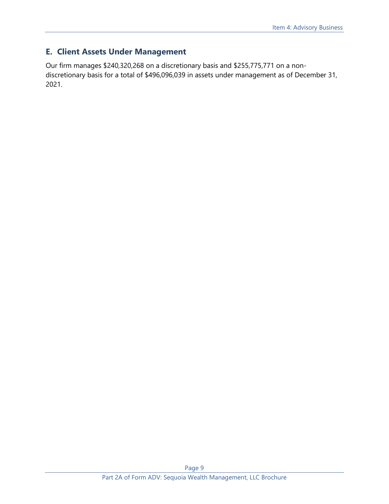# **E. Client Assets Under Management**

Our firm manages \$240,320,268 on a discretionary basis and \$255,775,771 on a nondiscretionary basis for a total of \$496,096,039 in assets under management as of December 31, 2021.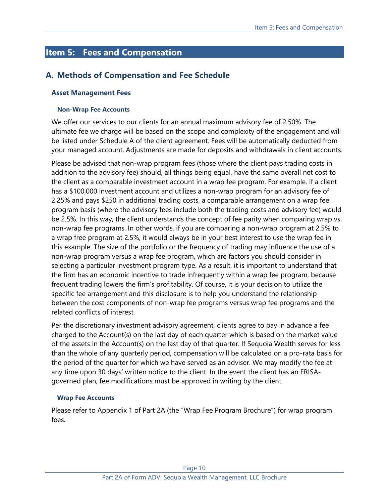# <span id="page-9-0"></span>**Item 5: Fees and Compensation**

## **A. Methods of Compensation and Fee Schedule**

#### **Asset Management Fees**

#### **Non-Wrap Fee Accounts**

We offer our services to our clients for an annual maximum advisory fee of 2.50%. The ultimate fee we charge will be based on the scope and complexity of the engagement and will be listed under Schedule A of the client agreement. Fees will be automatically deducted from your managed account. Adjustments are made for deposits and withdrawals in client accounts.

Please be advised that non-wrap program fees (those where the client pays trading costs in addition to the advisory fee) should, all things being equal, have the same overall net cost to the client as a comparable investment account in a wrap fee program. For example, if a client has a \$100,000 investment account and utilizes a non-wrap program for an advisory fee of 2.25% and pays \$250 in additional trading costs, a comparable arrangement on a wrap fee program basis (where the advisory fees include both the trading costs and advisory fee) would be 2.5%. In this way, the client understands the concept of fee parity when comparing wrap vs. non-wrap fee programs. In other words, if you are comparing a non-wrap program at 2.5% to a wrap free program at 2.5%, it would always be in your best interest to use the wrap fee in this example. The size of the portfolio or the frequency of trading may influence the use of a non-wrap program versus a wrap fee program, which are factors you should consider in selecting a particular investment program type. As a result, it is important to understand that the firm has an economic incentive to trade infrequently within a wrap fee program, because frequent trading lowers the firm's profitability. Of course, it is your decision to utilize the specific fee arrangement and this disclosure is to help you understand the relationship between the cost components of non-wrap fee programs versus wrap fee programs and the related conflicts of interest.

Per the discretionary investment advisory agreement, clients agree to pay in advance a fee charged to the Account(s) on the last day of each quarter which is based on the market value of the assets in the Account(s) on the last day of that quarter. If Sequoia Wealth serves for less than the whole of any quarterly period, compensation will be calculated on a pro-rata basis for the period of the quarter for which we have served as an adviser. We may modify the fee at any time upon 30 days' written notice to the client. In the event the client has an ERISAgoverned plan, fee modifications must be approved in writing by the client.

#### **Wrap Fee Accounts**

Please refer to Appendix 1 of Part 2A (the "Wrap Fee Program Brochure") for wrap program fees.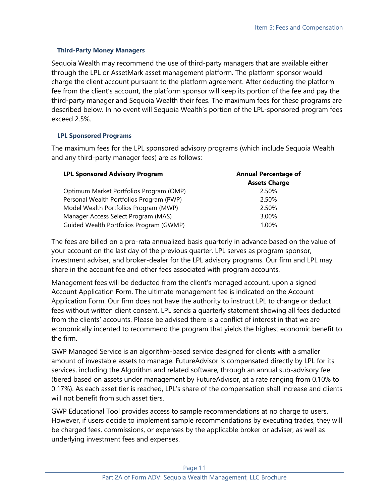### **Third-Party Money Managers**

Sequoia Wealth may recommend the use of third-party managers that are available either through the LPL or AssetMark asset management platform. The platform sponsor would charge the client account pursuant to the platform agreement. After deducting the platform fee from the client's account, the platform sponsor will keep its portion of the fee and pay the third-party manager and Sequoia Wealth their fees. The maximum fees for these programs are described below. In no event will Sequoia Wealth's portion of the LPL-sponsored program fees exceed 2.5%.

### **LPL Sponsored Programs**

The maximum fees for the LPL sponsored advisory programs (which include Sequoia Wealth and any third-party manager fees) are as follows:

| <b>LPL Sponsored Advisory Program</b>    | <b>Annual Percentage of</b> |  |
|------------------------------------------|-----------------------------|--|
|                                          | <b>Assets Charge</b>        |  |
| Optimum Market Portfolios Program (OMP)  | 2.50%                       |  |
| Personal Wealth Portfolios Program (PWP) | 2.50%                       |  |
| Model Wealth Portfolios Program (MWP)    | 2.50%                       |  |
| Manager Access Select Program (MAS)      | 3.00%                       |  |
| Guided Wealth Portfolios Program (GWMP)  | 1.00%                       |  |

The fees are billed on a pro-rata annualized basis quarterly in advance based on the value of your account on the last day of the previous quarter. LPL serves as program sponsor, investment adviser, and broker-dealer for the LPL advisory programs. Our firm and LPL may share in the account fee and other fees associated with program accounts.

Management fees will be deducted from the client's managed account, upon a signed Account Application Form. The ultimate management fee is indicated on the Account Application Form. Our firm does not have the authority to instruct LPL to change or deduct fees without written client consent. LPL sends a quarterly statement showing all fees deducted from the clients' accounts. Please be advised there is a conflict of interest in that we are economically incented to recommend the program that yields the highest economic benefit to the firm.

GWP Managed Service is an algorithm-based service designed for clients with a smaller amount of investable assets to manage. FutureAdvisor is compensated directly by LPL for its services, including the Algorithm and related software, through an annual sub-advisory fee (tiered based on assets under management by FutureAdvisor, at a rate ranging from 0.10% to 0.17%). As each asset tier is reached, LPL's share of the compensation shall increase and clients will not benefit from such asset tiers.

GWP Educational Tool provides access to sample recommendations at no charge to users. However, if users decide to implement sample recommendations by executing trades, they will be charged fees, commissions, or expenses by the applicable broker or adviser, as well as underlying investment fees and expenses.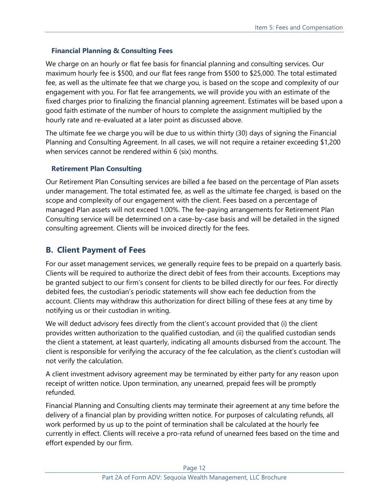### **Financial Planning & Consulting Fees**

We charge on an hourly or flat fee basis for financial planning and consulting services. Our maximum hourly fee is \$500, and our flat fees range from \$500 to \$25,000. The total estimated fee, as well as the ultimate fee that we charge you, is based on the scope and complexity of our engagement with you. For flat fee arrangements, we will provide you with an estimate of the fixed charges prior to finalizing the financial planning agreement. Estimates will be based upon a good faith estimate of the number of hours to complete the assignment multiplied by the hourly rate and re-evaluated at a later point as discussed above.

The ultimate fee we charge you will be due to us within thirty (30) days of signing the Financial Planning and Consulting Agreement. In all cases, we will not require a retainer exceeding \$1,200 when services cannot be rendered within 6 (six) months.

### **Retirement Plan Consulting**

Our Retirement Plan Consulting services are billed a fee based on the percentage of Plan assets under management. The total estimated fee, as well as the ultimate fee charged, is based on the scope and complexity of our engagement with the client. Fees based on a percentage of managed Plan assets will not exceed 1.00%. The fee-paying arrangements for Retirement Plan Consulting service will be determined on a case-by-case basis and will be detailed in the signed consulting agreement. Clients will be invoiced directly for the fees.

## **B. Client Payment of Fees**

For our asset management services, we generally require fees to be prepaid on a quarterly basis. Clients will be required to authorize the direct debit of fees from their accounts. Exceptions may be granted subject to our firm's consent for clients to be billed directly for our fees. For directly debited fees, the custodian's periodic statements will show each fee deduction from the account. Clients may withdraw this authorization for direct billing of these fees at any time by notifying us or their custodian in writing.

We will deduct advisory fees directly from the client's account provided that (i) the client provides written authorization to the qualified custodian, and (ii) the qualified custodian sends the client a statement, at least quarterly, indicating all amounts disbursed from the account. The client is responsible for verifying the accuracy of the fee calculation, as the client's custodian will not verify the calculation.

A client investment advisory agreement may be terminated by either party for any reason upon receipt of written notice. Upon termination, any unearned, prepaid fees will be promptly refunded.

Financial Planning and Consulting clients may terminate their agreement at any time before the delivery of a financial plan by providing written notice. For purposes of calculating refunds, all work performed by us up to the point of termination shall be calculated at the hourly fee currently in effect. Clients will receive a pro-rata refund of unearned fees based on the time and effort expended by our firm.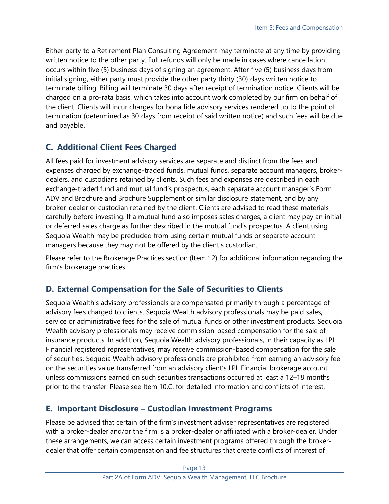Either party to a Retirement Plan Consulting Agreement may terminate at any time by providing written notice to the other party. Full refunds will only be made in cases where cancellation occurs within five (5) business days of signing an agreement. After five (5) business days from initial signing, either party must provide the other party thirty (30) days written notice to terminate billing. Billing will terminate 30 days after receipt of termination notice. Clients will be charged on a pro-rata basis, which takes into account work completed by our firm on behalf of the client. Clients will incur charges for bona fide advisory services rendered up to the point of termination (determined as 30 days from receipt of said written notice) and such fees will be due and payable.

## **C. Additional Client Fees Charged**

All fees paid for investment advisory services are separate and distinct from the fees and expenses charged by exchange-traded funds, mutual funds, separate account managers, brokerdealers, and custodians retained by clients. Such fees and expenses are described in each exchange-traded fund and mutual fund's prospectus, each separate account manager's Form ADV and Brochure and Brochure Supplement or similar disclosure statement, and by any broker-dealer or custodian retained by the client. Clients are advised to read these materials carefully before investing. If a mutual fund also imposes sales charges, a client may pay an initial or deferred sales charge as further described in the mutual fund's prospectus. A client using Sequoia Wealth may be precluded from using certain mutual funds or separate account managers because they may not be offered by the client's custodian.

Please refer to the Brokerage Practices section (Item 12) for additional information regarding the firm's brokerage practices.

## **D. External Compensation for the Sale of Securities to Clients**

Sequoia Wealth's advisory professionals are compensated primarily through a percentage of advisory fees charged to clients. Sequoia Wealth advisory professionals may be paid sales, service or administrative fees for the sale of mutual funds or other investment products. Sequoia Wealth advisory professionals may receive commission-based compensation for the sale of insurance products. In addition, Sequoia Wealth advisory professionals, in their capacity as LPL Financial registered representatives, may receive commission-based compensation for the sale of securities. Sequoia Wealth advisory professionals are prohibited from earning an advisory fee on the securities value transferred from an advisory client's LPL Financial brokerage account unless commissions earned on such securities transactions occurred at least a 12–18 months prior to the transfer. Please see Item 10.C. for detailed information and conflicts of interest.

## **E. Important Disclosure – Custodian Investment Programs**

Please be advised that certain of the firm's investment adviser representatives are registered with a broker-dealer and/or the firm is a broker-dealer or affiliated with a broker-dealer. Under these arrangements, we can access certain investment programs offered through the brokerdealer that offer certain compensation and fee structures that create conflicts of interest of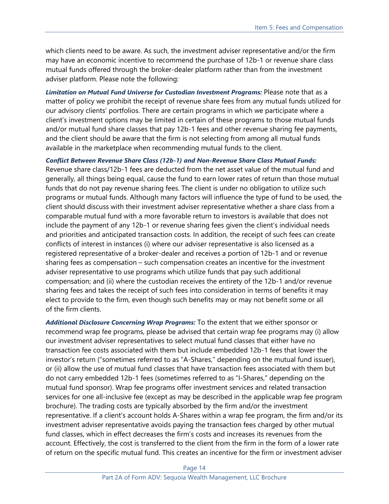which clients need to be aware. As such, the investment adviser representative and/or the firm may have an economic incentive to recommend the purchase of 12b-1 or revenue share class mutual funds offered through the broker-dealer platform rather than from the investment adviser platform. Please note the following:

*Limitation on Mutual Fund Universe for Custodian Investment Programs:* Please note that as a matter of policy we prohibit the receipt of revenue share fees from any mutual funds utilized for our advisory clients' portfolios. There are certain programs in which we participate where a client's investment options may be limited in certain of these programs to those mutual funds and/or mutual fund share classes that pay 12b-1 fees and other revenue sharing fee payments, and the client should be aware that the firm is not selecting from among all mutual funds available in the marketplace when recommending mutual funds to the client.

*Conflict Between Revenue Share Class (12b-1) and Non-Revenue Share Class Mutual Funds:*

Revenue share class/12b-1 fees are deducted from the net asset value of the mutual fund and generally, all things being equal, cause the fund to earn lower rates of return than those mutual funds that do not pay revenue sharing fees. The client is under no obligation to utilize such programs or mutual funds. Although many factors will influence the type of fund to be used, the client should discuss with their investment adviser representative whether a share class from a comparable mutual fund with a more favorable return to investors is available that does not include the payment of any 12b-1 or revenue sharing fees given the client's individual needs and priorities and anticipated transaction costs. In addition, the receipt of such fees can create conflicts of interest in instances (i) where our adviser representative is also licensed as a registered representative of a broker-dealer and receives a portion of 12b-1 and or revenue sharing fees as compensation – such compensation creates an incentive for the investment adviser representative to use programs which utilize funds that pay such additional compensation; and (ii) where the custodian receives the entirety of the 12b-1 and/or revenue sharing fees and takes the receipt of such fees into consideration in terms of benefits it may elect to provide to the firm, even though such benefits may or may not benefit some or all of the firm clients.

*Additional Disclosure Concerning Wrap Programs:* To the extent that we either sponsor or recommend wrap fee programs, please be advised that certain wrap fee programs may (i) allow our investment adviser representatives to select mutual fund classes that either have no transaction fee costs associated with them but include embedded 12b-1 fees that lower the investor's return ("sometimes referred to as "A-Shares," depending on the mutual fund issuer), or (ii) allow the use of mutual fund classes that have transaction fees associated with them but do not carry embedded 12b-1 fees (sometimes referred to as "I-Shares," depending on the mutual fund sponsor). Wrap fee programs offer investment services and related transaction services for one all-inclusive fee (except as may be described in the applicable wrap fee program brochure). The trading costs are typically absorbed by the firm and/or the investment representative. If a client's account holds A-Shares within a wrap fee program, the firm and/or its investment adviser representative avoids paying the transaction fees charged by other mutual fund classes, which in effect decreases the firm's costs and increases its revenues from the account. Effectively, the cost is transferred to the client from the firm in the form of a lower rate of return on the specific mutual fund. This creates an incentive for the firm or investment adviser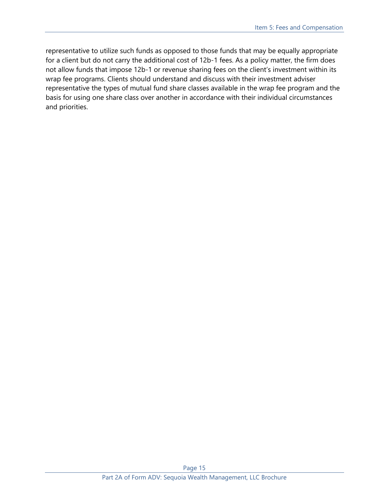representative to utilize such funds as opposed to those funds that may be equally appropriate for a client but do not carry the additional cost of 12b-1 fees. As a policy matter, the firm does not allow funds that impose 12b-1 or revenue sharing fees on the client's investment within its wrap fee programs. Clients should understand and discuss with their investment adviser representative the types of mutual fund share classes available in the wrap fee program and the basis for using one share class over another in accordance with their individual circumstances and priorities.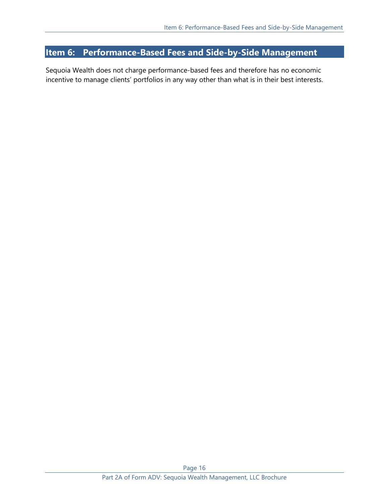# <span id="page-15-0"></span>**Item 6: Performance-Based Fees and Side-by-Side Management**

Sequoia Wealth does not charge performance-based fees and therefore has no economic incentive to manage clients' portfolios in any way other than what is in their best interests.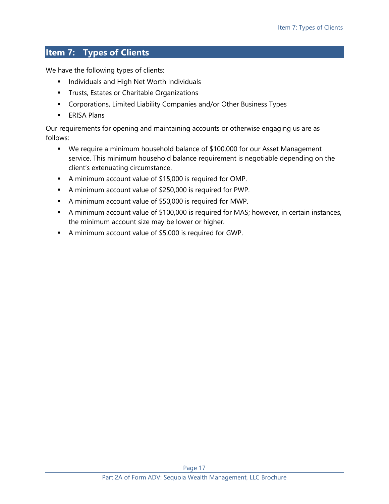# <span id="page-16-0"></span>**Item 7: Types of Clients**

We have the following types of clients:

- **■** Individuals and High Net Worth Individuals
- **EXEC** Trusts, Estates or Charitable Organizations
- Corporations, Limited Liability Companies and/or Other Business Types
- **ERISA Plans**

Our requirements for opening and maintaining accounts or otherwise engaging us are as follows:

- We require a minimum household balance of \$100,000 for our Asset Management service. This minimum household balance requirement is negotiable depending on the client's extenuating circumstance.
- A minimum account value of \$15,000 is required for OMP.
- A minimum account value of \$250,000 is required for PWP.
- A minimum account value of \$50,000 is required for MWP.
- A minimum account value of \$100,000 is required for MAS; however, in certain instances, the minimum account size may be lower or higher.
- A minimum account value of \$5,000 is required for GWP.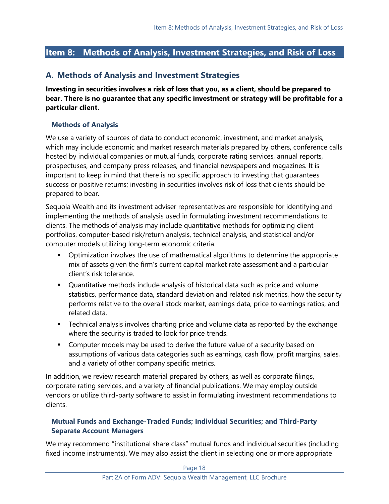# <span id="page-17-0"></span>**Item 8: Methods of Analysis, Investment Strategies, and Risk of Loss**

## **A. Methods of Analysis and Investment Strategies**

**Investing in securities involves a risk of loss that you, as a client, should be prepared to bear. There is no guarantee that any specific investment or strategy will be profitable for a particular client.**

### **Methods of Analysis**

We use a variety of sources of data to conduct economic, investment, and market analysis, which may include economic and market research materials prepared by others, conference calls hosted by individual companies or mutual funds, corporate rating services, annual reports, prospectuses, and company press releases, and financial newspapers and magazines. It is important to keep in mind that there is no specific approach to investing that guarantees success or positive returns; investing in securities involves risk of loss that clients should be prepared to bear.

Sequoia Wealth and its investment adviser representatives are responsible for identifying and implementing the methods of analysis used in formulating investment recommendations to clients. The methods of analysis may include quantitative methods for optimizing client portfolios, computer-based risk/return analysis, technical analysis, and statistical and/or computer models utilizing long-term economic criteria.

- **•** Optimization involves the use of mathematical algorithms to determine the appropriate mix of assets given the firm's current capital market rate assessment and a particular client's risk tolerance.
- Quantitative methods include analysis of historical data such as price and volume statistics, performance data, standard deviation and related risk metrics, how the security performs relative to the overall stock market, earnings data, price to earnings ratios, and related data.
- **•** Technical analysis involves charting price and volume data as reported by the exchange where the security is traded to look for price trends.
- Computer models may be used to derive the future value of a security based on assumptions of various data categories such as earnings, cash flow, profit margins, sales, and a variety of other company specific metrics.

In addition, we review research material prepared by others, as well as corporate filings, corporate rating services, and a variety of financial publications. We may employ outside vendors or utilize third-party software to assist in formulating investment recommendations to clients.

## **Mutual Funds and Exchange-Traded Funds; Individual Securities; and Third-Party Separate Account Managers**

We may recommend "institutional share class" mutual funds and individual securities (including fixed income instruments). We may also assist the client in selecting one or more appropriate

Page 18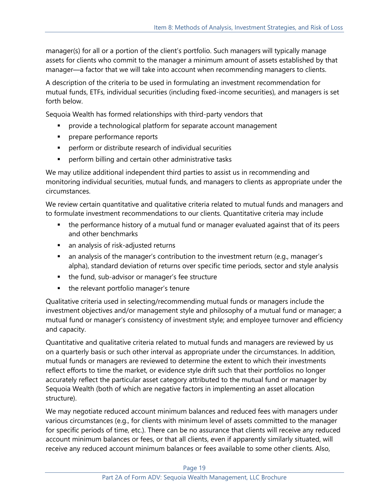manager(s) for all or a portion of the client's portfolio. Such managers will typically manage assets for clients who commit to the manager a minimum amount of assets established by that manager—a factor that we will take into account when recommending managers to clients.

A description of the criteria to be used in formulating an investment recommendation for mutual funds, ETFs, individual securities (including fixed-income securities), and managers is set forth below.

Sequoia Wealth has formed relationships with third-party vendors that

- **•** provide a technological platform for separate account management
- **·** prepare performance reports
- perform or distribute research of individual securities
- perform billing and certain other administrative tasks

We may utilize additional independent third parties to assist us in recommending and monitoring individual securities, mutual funds, and managers to clients as appropriate under the circumstances.

We review certain quantitative and qualitative criteria related to mutual funds and managers and to formulate investment recommendations to our clients. Quantitative criteria may include

- the performance history of a mutual fund or manager evaluated against that of its peers and other benchmarks
- an analysis of risk-adjusted returns
- an analysis of the manager's contribution to the investment return (e.g., manager's alpha), standard deviation of returns over specific time periods, sector and style analysis
- the fund, sub-advisor or manager's fee structure
- the relevant portfolio manager's tenure

Qualitative criteria used in selecting/recommending mutual funds or managers include the investment objectives and/or management style and philosophy of a mutual fund or manager; a mutual fund or manager's consistency of investment style; and employee turnover and efficiency and capacity.

Quantitative and qualitative criteria related to mutual funds and managers are reviewed by us on a quarterly basis or such other interval as appropriate under the circumstances. In addition, mutual funds or managers are reviewed to determine the extent to which their investments reflect efforts to time the market, or evidence style drift such that their portfolios no longer accurately reflect the particular asset category attributed to the mutual fund or manager by Sequoia Wealth (both of which are negative factors in implementing an asset allocation structure).

We may negotiate reduced account minimum balances and reduced fees with managers under various circumstances (e.g., for clients with minimum level of assets committed to the manager for specific periods of time, etc.). There can be no assurance that clients will receive any reduced account minimum balances or fees, or that all clients, even if apparently similarly situated, will receive any reduced account minimum balances or fees available to some other clients. Also,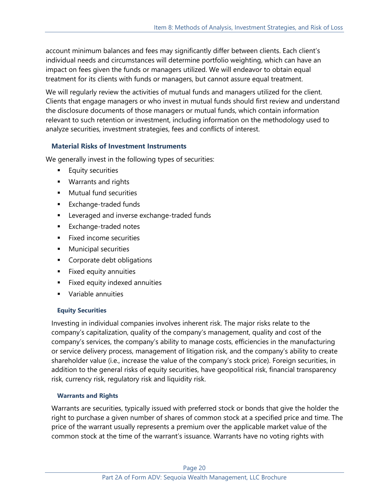account minimum balances and fees may significantly differ between clients. Each client's individual needs and circumstances will determine portfolio weighting, which can have an impact on fees given the funds or managers utilized. We will endeavor to obtain equal treatment for its clients with funds or managers, but cannot assure equal treatment.

We will regularly review the activities of mutual funds and managers utilized for the client. Clients that engage managers or who invest in mutual funds should first review and understand the disclosure documents of those managers or mutual funds, which contain information relevant to such retention or investment, including information on the methodology used to analyze securities, investment strategies, fees and conflicts of interest.

## **Material Risks of Investment Instruments**

We generally invest in the following types of securities:

- **Equity securities**
- Warrants and rights
- Mutual fund securities
- Exchange-traded funds
- Leveraged and inverse exchange-traded funds
- Exchange-traded notes
- Fixed income securities
- **■** Municipal securities
- Corporate debt obligations
- **EXECUTE:** Fixed equity annuities
- Fixed equity indexed annuities
- Variable annuities

### **Equity Securities**

Investing in individual companies involves inherent risk. The major risks relate to the company's capitalization, quality of the company's management, quality and cost of the company's services, the company's ability to manage costs, efficiencies in the manufacturing or service delivery process, management of litigation risk, and the company's ability to create shareholder value (i.e., increase the value of the company's stock price). Foreign securities, in addition to the general risks of equity securities, have geopolitical risk, financial transparency risk, currency risk, regulatory risk and liquidity risk.

### **Warrants and Rights**

Warrants are securities, typically issued with preferred stock or bonds that give the holder the right to purchase a given number of shares of common stock at a specified price and time. The price of the warrant usually represents a premium over the applicable market value of the common stock at the time of the warrant's issuance. Warrants have no voting rights with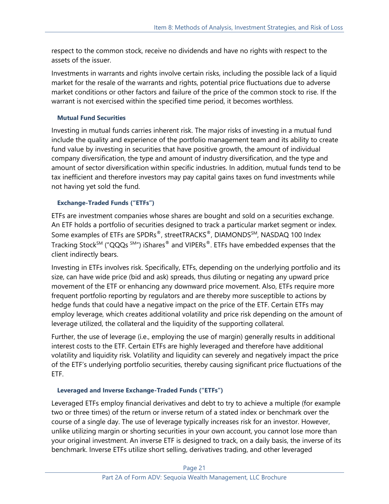respect to the common stock, receive no dividends and have no rights with respect to the assets of the issuer.

Investments in warrants and rights involve certain risks, including the possible lack of a liquid market for the resale of the warrants and rights, potential price fluctuations due to adverse market conditions or other factors and failure of the price of the common stock to rise. If the warrant is not exercised within the specified time period, it becomes worthless.

### **Mutual Fund Securities**

Investing in mutual funds carries inherent risk. The major risks of investing in a mutual fund include the quality and experience of the portfolio management team and its ability to create fund value by investing in securities that have positive growth, the amount of individual company diversification, the type and amount of industry diversification, and the type and amount of sector diversification within specific industries. In addition, mutual funds tend to be tax inefficient and therefore investors may pay capital gains taxes on fund investments while not having yet sold the fund.

### **Exchange-Traded Funds ("ETFs")**

ETFs are investment companies whose shares are bought and sold on a securities exchange. An ETF holds a portfolio of securities designed to track a particular market segment or index. Some examples of ETFs are SPDRs®, streetTRACKS®, DIAMONDSSM, NASDAQ 100 Index Tracking Stock<sup>SM</sup> ("QQQs<sup>SM</sup>") iShares<sup>®</sup> and VIPERs<sup>®</sup>. ETFs have embedded expenses that the client indirectly bears.

Investing in ETFs involves risk. Specifically, ETFs, depending on the underlying portfolio and its size, can have wide price (bid and ask) spreads, thus diluting or negating any upward price movement of the ETF or enhancing any downward price movement. Also, ETFs require more frequent portfolio reporting by regulators and are thereby more susceptible to actions by hedge funds that could have a negative impact on the price of the ETF. Certain ETFs may employ leverage, which creates additional volatility and price risk depending on the amount of leverage utilized, the collateral and the liquidity of the supporting collateral.

Further, the use of leverage (i.e., employing the use of margin) generally results in additional interest costs to the ETF. Certain ETFs are highly leveraged and therefore have additional volatility and liquidity risk. Volatility and liquidity can severely and negatively impact the price of the ETF's underlying portfolio securities, thereby causing significant price fluctuations of the ETF.

### **Leveraged and Inverse Exchange-Traded Funds ("ETFs")**

Leveraged ETFs employ financial derivatives and debt to try to achieve a multiple (for example two or three times) of the return or inverse return of a stated index or benchmark over the course of a single day. The use of leverage typically increases risk for an investor. However, unlike utilizing margin or shorting securities in your own account, you cannot lose more than your original investment. An inverse ETF is designed to track, on a daily basis, the inverse of its benchmark. Inverse ETFs utilize short selling, derivatives trading, and other leveraged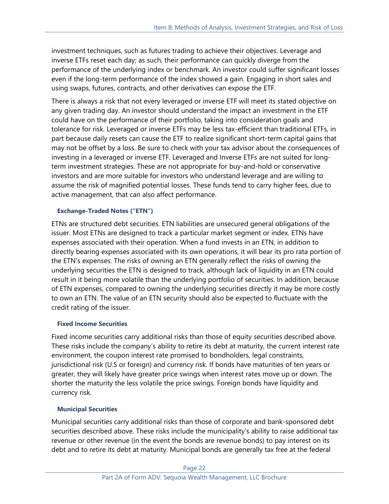investment techniques, such as futures trading to achieve their objectives. Leverage and inverse ETFs reset each day; as such, their performance can quickly diverge from the performance of the underlying index or benchmark. An investor could suffer significant losses even if the long-term performance of the index showed a gain. Engaging in short sales and using swaps, futures, contracts, and other derivatives can expose the ETF.

There is always a risk that not every leveraged or inverse ETF will meet its stated objective on any given trading day. An investor should understand the impact an investment in the ETF could have on the performance of their portfolio, taking into consideration goals and tolerance for risk. Leveraged or inverse ETFs may be less tax-efficient than traditional ETFs, in part because daily resets can cause the ETF to realize significant short-term capital gains that may not be offset by a loss. Be sure to check with your tax advisor about the consequences of investing in a leveraged or inverse ETF. Leveraged and Inverse ETFs are not suited for longterm investment strategies. These are not appropriate for buy-and-hold or conservative investors and are more suitable for investors who understand leverage and are willing to assume the risk of magnified potential losses. These funds tend to carry higher fees, due to active management, that can also affect performance.

### **Exchange-Traded Notes ("ETN")**

ETNs are structured debt securities. ETN liabilities are unsecured general obligations of the issuer. Most ETNs are designed to track a particular market segment or index. ETNs have expenses associated with their operation. When a fund invests in an ETN, in addition to directly bearing expenses associated with its own operations, it will bear its pro rata portion of the ETN's expenses. The risks of owning an ETN generally reflect the risks of owning the underlying securities the ETN is designed to track, although lack of liquidity in an ETN could result in it being more volatile than the underlying portfolio of securities. In addition, because of ETN expenses, compared to owning the underlying securities directly it may be more costly to own an ETN. The value of an ETN security should also be expected to fluctuate with the credit rating of the issuer.

### **Fixed Income Securities**

Fixed income securities carry additional risks than those of equity securities described above. These risks include the company's ability to retire its debt at maturity, the current interest rate environment, the coupon interest rate promised to bondholders, legal constraints, jurisdictional risk (U.S or foreign) and currency risk. If bonds have maturities of ten years or greater, they will likely have greater price swings when interest rates move up or down. The shorter the maturity the less volatile the price swings. Foreign bonds have liquidity and currency risk.

### **Municipal Securities**

Municipal securities carry additional risks than those of corporate and bank-sponsored debt securities described above. These risks include the municipality's ability to raise additional tax revenue or other revenue (in the event the bonds are revenue bonds) to pay interest on its debt and to retire its debt at maturity. Municipal bonds are generally tax free at the federal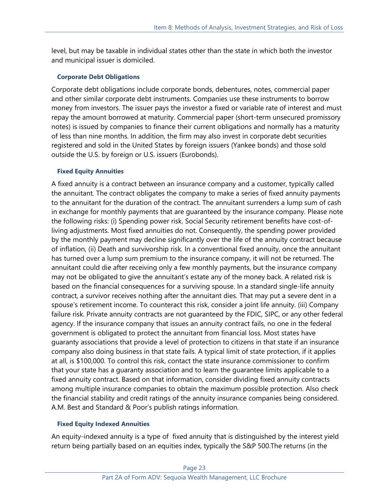level, but may be taxable in individual states other than the state in which both the investor and municipal issuer is domiciled.

### **Corporate Debt Obligations**

Corporate debt obligations include corporate bonds, debentures, notes, commercial paper and other similar corporate debt instruments. Companies use these instruments to borrow money from investors. The issuer pays the investor a fixed or variable rate of interest and must repay the amount borrowed at maturity. Commercial paper (short-term unsecured promissory notes) is issued by companies to finance their current obligations and normally has a maturity of less than nine months. In addition, the firm may also invest in corporate debt securities registered and sold in the United States by foreign issuers (Yankee bonds) and those sold outside the U.S. by foreign or U.S. issuers (Eurobonds).

### **Fixed Equity Annuities**

A fixed annuity is a contract between an insurance company and a customer, typically called the annuitant. The contract obligates the company to make a series of fixed annuity payments to the annuitant for the duration of the contract. The annuitant surrenders a lump sum of cash in exchange for monthly payments that are guaranteed by the insurance company. Please note the following risks: (i) Spending power risk. Social Security retirement benefits have cost-ofliving adjustments. Most fixed annuities do not. Consequently, the spending power provided by the monthly payment may decline significantly over the life of the annuity contract because of inflation, (ii) Death and survivorship risk. In a conventional fixed annuity, once the annuitant has turned over a lump sum premium to the insurance company, it will not be returned. The annuitant could die after receiving only a few monthly payments, but the insurance company may not be obligated to give the annuitant's estate any of the money back. A related risk is based on the financial consequences for a surviving spouse. In a standard single-life annuity contract, a survivor receives nothing after the annuitant dies. That may put a severe dent in a spouse's retirement income. To counteract this risk, consider a joint life annuity. (iii) Company failure risk. Private annuity contracts are not guaranteed by the FDIC, SIPC, or any other federal agency. If the insurance company that issues an annuity contract fails, no one in the federal government is obligated to protect the annuitant from financial loss. Most states have guaranty associations that provide a level of protection to citizens in that state if an insurance company also doing business in that state fails. A typical limit of state protection, if it applies at all, is \$100,000. To control this risk, contact the state insurance commissioner to confirm that your state has a guaranty association and to learn the guarantee limits applicable to a fixed annuity contract. Based on that information, consider dividing fixed annuity contracts among multiple insurance companies to obtain the maximum possible protection. Also check the financial stability and credit ratings of the annuity insurance companies being considered. A.M. Best and Standard & Poor's publish ratings information.

### **Fixed Equity Indexed Annuities**

An equity-indexed annuity is a type of fixed annuity that is distinguished by the interest yield return being partially based on an equities index, typically the S&P 500.The returns (in the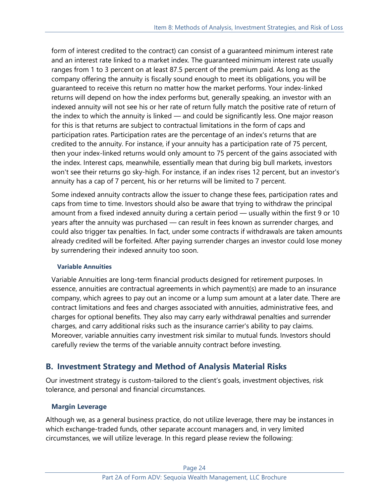form of interest credited to the contract) can consist of a guaranteed minimum interest rate and an interest rate linked to a market index. The guaranteed minimum interest rate usually ranges from 1 to 3 percent on at least 87.5 percent of the premium paid. As long as the company offering the annuity is fiscally sound enough to meet its obligations, you will be guaranteed to receive this return no matter how the market performs. Your index-linked returns will depend on how the index performs but, generally speaking, an investor with an indexed annuity will not see his or her rate of return fully match the positive rate of return of the index to which the annuity is linked — and could be significantly less. One major reason for this is that returns are subject to contractual limitations in the form of caps and participation rates. Participation rates are the percentage of an index's returns that are credited to the annuity. For instance, if your annuity has a participation rate of 75 percent, then your index-linked returns would only amount to 75 percent of the gains associated with the index. Interest caps, meanwhile, essentially mean that during big bull markets, investors won't see their returns go sky-high. For instance, if an index rises 12 percent, but an investor's annuity has a cap of 7 percent, his or her returns will be limited to 7 percent.

Some indexed annuity contracts allow the issuer to change these fees, participation rates and caps from time to time. Investors should also be aware that trying to withdraw the principal amount from a fixed indexed annuity during a certain period — usually within the first 9 or 10 years after the annuity was purchased — can result in fees known as surrender charges, and could also trigger tax penalties. In fact, under some contracts if withdrawals are taken amounts already credited will be forfeited. After paying surrender charges an investor could lose money by surrendering their indexed annuity too soon.

### **Variable Annuities**

Variable Annuities are long-term financial products designed for retirement purposes. In essence, annuities are contractual agreements in which payment(s) are made to an insurance company, which agrees to pay out an income or a lump sum amount at a later date. There are contract limitations and fees and charges associated with annuities, administrative fees, and charges for optional benefits. They also may carry early withdrawal penalties and surrender charges, and carry additional risks such as the insurance carrier's ability to pay claims. Moreover, variable annuities carry investment risk similar to mutual funds. Investors should carefully review the terms of the variable annuity contract before investing.

## **B. Investment Strategy and Method of Analysis Material Risks**

Our investment strategy is custom-tailored to the client's goals, investment objectives, risk tolerance, and personal and financial circumstances.

### **Margin Leverage**

Although we, as a general business practice, do not utilize leverage, there may be instances in which exchange-traded funds, other separate account managers and, in very limited circumstances, we will utilize leverage. In this regard please review the following: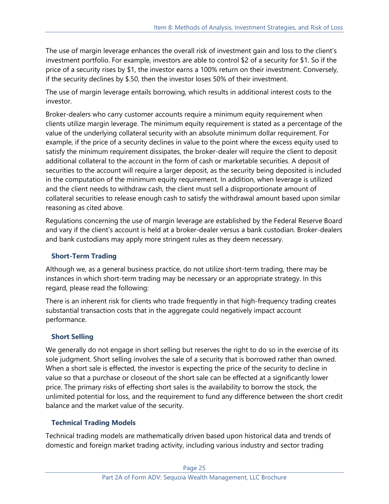The use of margin leverage enhances the overall risk of investment gain and loss to the client's investment portfolio. For example, investors are able to control \$2 of a security for \$1. So if the price of a security rises by \$1, the investor earns a 100% return on their investment. Conversely, if the security declines by \$.50, then the investor loses 50% of their investment.

The use of margin leverage entails borrowing, which results in additional interest costs to the investor.

Broker-dealers who carry customer accounts require a minimum equity requirement when clients utilize margin leverage. The minimum equity requirement is stated as a percentage of the value of the underlying collateral security with an absolute minimum dollar requirement. For example, if the price of a security declines in value to the point where the excess equity used to satisfy the minimum requirement dissipates, the broker-dealer will require the client to deposit additional collateral to the account in the form of cash or marketable securities. A deposit of securities to the account will require a larger deposit, as the security being deposited is included in the computation of the minimum equity requirement. In addition, when leverage is utilized and the client needs to withdraw cash, the client must sell a disproportionate amount of collateral securities to release enough cash to satisfy the withdrawal amount based upon similar reasoning as cited above.

Regulations concerning the use of margin leverage are established by the Federal Reserve Board and vary if the client's account is held at a broker-dealer versus a bank custodian. Broker-dealers and bank custodians may apply more stringent rules as they deem necessary.

### **Short-Term Trading**

Although we, as a general business practice, do not utilize short-term trading, there may be instances in which short-term trading may be necessary or an appropriate strategy. In this regard, please read the following:

There is an inherent risk for clients who trade frequently in that high-frequency trading creates substantial transaction costs that in the aggregate could negatively impact account performance.

## **Short Selling**

We generally do not engage in short selling but reserves the right to do so in the exercise of its sole judgment. Short selling involves the sale of a security that is borrowed rather than owned. When a short sale is effected, the investor is expecting the price of the security to decline in value so that a purchase or closeout of the short sale can be effected at a significantly lower price. The primary risks of effecting short sales is the availability to borrow the stock, the unlimited potential for loss, and the requirement to fund any difference between the short credit balance and the market value of the security.

## **Technical Trading Models**

Technical trading models are mathematically driven based upon historical data and trends of domestic and foreign market trading activity, including various industry and sector trading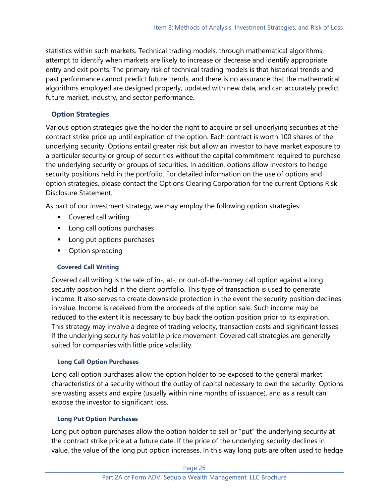statistics within such markets. Technical trading models, through mathematical algorithms, attempt to identify when markets are likely to increase or decrease and identify appropriate entry and exit points. The primary risk of technical trading models is that historical trends and past performance cannot predict future trends, and there is no assurance that the mathematical algorithms employed are designed properly, updated with new data, and can accurately predict future market, industry, and sector performance.

## **Option Strategies**

Various option strategies give the holder the right to acquire or sell underlying securities at the contract strike price up until expiration of the option. Each contract is worth 100 shares of the underlying security. Options entail greater risk but allow an investor to have market exposure to a particular security or group of securities without the capital commitment required to purchase the underlying security or groups of securities. In addition, options allow investors to hedge security positions held in the portfolio. For detailed information on the use of options and option strategies, please contact the Options Clearing Corporation for the current Options Risk Disclosure Statement.

As part of our investment strategy, we may employ the following option strategies:

- Covered call writing
- Long call options purchases
- Long put options purchases
- Option spreading

## **Covered Call Writing**

Covered call writing is the sale of in-, at-, or out-of-the-money call option against a long security position held in the client portfolio. This type of transaction is used to generate income. It also serves to create downside protection in the event the security position declines in value. Income is received from the proceeds of the option sale. Such income may be reduced to the extent it is necessary to buy back the option position prior to its expiration. This strategy may involve a degree of trading velocity, transaction costs and significant losses if the underlying security has volatile price movement. Covered call strategies are generally suited for companies with little price volatility.

### **Long Call Option Purchases**

Long call option purchases allow the option holder to be exposed to the general market characteristics of a security without the outlay of capital necessary to own the security. Options are wasting assets and expire (usually within nine months of issuance), and as a result can expose the investor to significant loss.

### **Long Put Option Purchases**

Long put option purchases allow the option holder to sell or "put" the underlying security at the contract strike price at a future date. If the price of the underlying security declines in value, the value of the long put option increases. In this way long puts are often used to hedge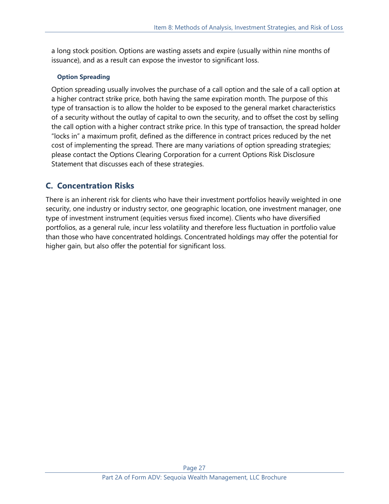a long stock position. Options are wasting assets and expire (usually within nine months of issuance), and as a result can expose the investor to significant loss.

### **Option Spreading**

Option spreading usually involves the purchase of a call option and the sale of a call option at a higher contract strike price, both having the same expiration month. The purpose of this type of transaction is to allow the holder to be exposed to the general market characteristics of a security without the outlay of capital to own the security, and to offset the cost by selling the call option with a higher contract strike price. In this type of transaction, the spread holder "locks in" a maximum profit, defined as the difference in contract prices reduced by the net cost of implementing the spread. There are many variations of option spreading strategies; please contact the Options Clearing Corporation for a current Options Risk Disclosure Statement that discusses each of these strategies.

## **C. Concentration Risks**

There is an inherent risk for clients who have their investment portfolios heavily weighted in one security, one industry or industry sector, one geographic location, one investment manager, one type of investment instrument (equities versus fixed income). Clients who have diversified portfolios, as a general rule, incur less volatility and therefore less fluctuation in portfolio value than those who have concentrated holdings. Concentrated holdings may offer the potential for higher gain, but also offer the potential for significant loss.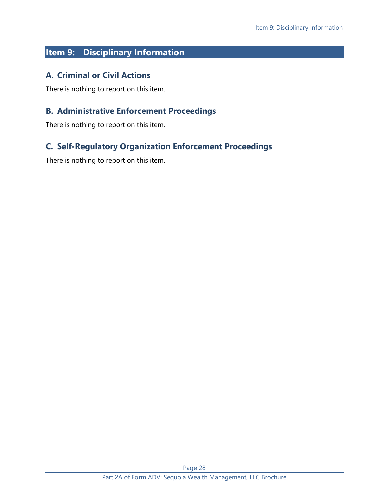# <span id="page-27-0"></span>**Item 9: Disciplinary Information**

## **A. Criminal or Civil Actions**

There is nothing to report on this item.

## **B. Administrative Enforcement Proceedings**

There is nothing to report on this item.

## **C. Self-Regulatory Organization Enforcement Proceedings**

There is nothing to report on this item.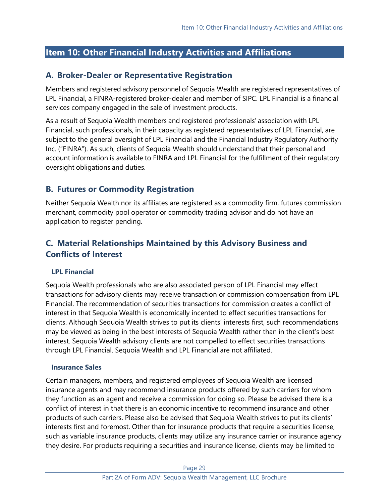# <span id="page-28-0"></span>**Item 10: Other Financial Industry Activities and Affiliations**

## **A. Broker-Dealer or Representative Registration**

Members and registered advisory personnel of Sequoia Wealth are registered representatives of LPL Financial, a FINRA-registered broker-dealer and member of SIPC. LPL Financial is a financial services company engaged in the sale of investment products.

As a result of Sequoia Wealth members and registered professionals' association with LPL Financial, such professionals, in their capacity as registered representatives of LPL Financial, are subject to the general oversight of LPL Financial and the Financial Industry Regulatory Authority Inc. ("FINRA"). As such, clients of Sequoia Wealth should understand that their personal and account information is available to FINRA and LPL Financial for the fulfillment of their regulatory oversight obligations and duties.

## **B. Futures or Commodity Registration**

Neither Sequoia Wealth nor its affiliates are registered as a commodity firm, futures commission merchant, commodity pool operator or commodity trading advisor and do not have an application to register pending.

# **C. Material Relationships Maintained by this Advisory Business and Conflicts of Interest**

### **LPL Financial**

Sequoia Wealth professionals who are also associated person of LPL Financial may effect transactions for advisory clients may receive transaction or commission compensation from LPL Financial. The recommendation of securities transactions for commission creates a conflict of interest in that Sequoia Wealth is economically incented to effect securities transactions for clients. Although Sequoia Wealth strives to put its clients' interests first, such recommendations may be viewed as being in the best interests of Sequoia Wealth rather than in the client's best interest. Sequoia Wealth advisory clients are not compelled to effect securities transactions through LPL Financial. Sequoia Wealth and LPL Financial are not affiliated.

### **Insurance Sales**

Certain managers, members, and registered employees of Sequoia Wealth are licensed insurance agents and may recommend insurance products offered by such carriers for whom they function as an agent and receive a commission for doing so. Please be advised there is a conflict of interest in that there is an economic incentive to recommend insurance and other products of such carriers. Please also be advised that Sequoia Wealth strives to put its clients' interests first and foremost. Other than for insurance products that require a securities license, such as variable insurance products, clients may utilize any insurance carrier or insurance agency they desire. For products requiring a securities and insurance license, clients may be limited to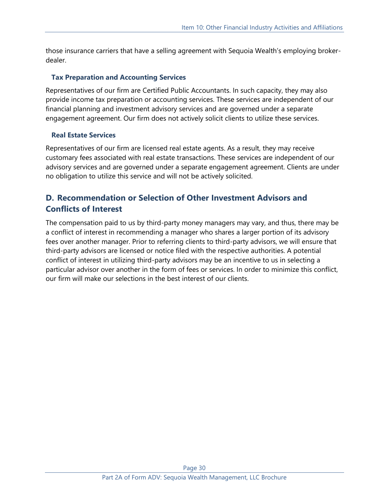those insurance carriers that have a selling agreement with Sequoia Wealth's employing brokerdealer.

### **Tax Preparation and Accounting Services**

Representatives of our firm are Certified Public Accountants. In such capacity, they may also provide income tax preparation or accounting services. These services are independent of our financial planning and investment advisory services and are governed under a separate engagement agreement. Our firm does not actively solicit clients to utilize these services.

### **Real Estate Services**

Representatives of our firm are licensed real estate agents. As a result, they may receive customary fees associated with real estate transactions. These services are independent of our advisory services and are governed under a separate engagement agreement. Clients are under no obligation to utilize this service and will not be actively solicited.

# **D. Recommendation or Selection of Other Investment Advisors and Conflicts of Interest**

The compensation paid to us by third-party money managers may vary, and thus, there may be a conflict of interest in recommending a manager who shares a larger portion of its advisory fees over another manager. Prior to referring clients to third-party advisors, we will ensure that third-party advisors are licensed or notice filed with the respective authorities. A potential conflict of interest in utilizing third-party advisors may be an incentive to us in selecting a particular advisor over another in the form of fees or services. In order to minimize this conflict, our firm will make our selections in the best interest of our clients.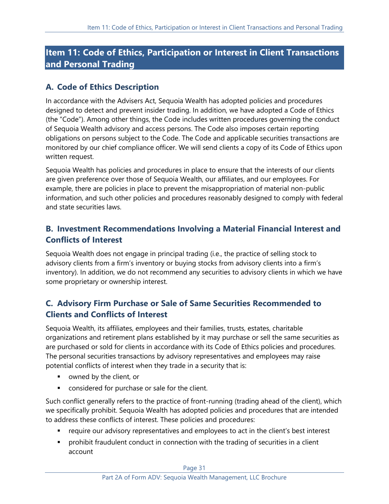# <span id="page-30-0"></span>**Item 11: Code of Ethics, Participation or Interest in Client Transactions and Personal Trading**

# **A. Code of Ethics Description**

In accordance with the Advisers Act, Sequoia Wealth has adopted policies and procedures designed to detect and prevent insider trading. In addition, we have adopted a Code of Ethics (the "Code"). Among other things, the Code includes written procedures governing the conduct of Sequoia Wealth advisory and access persons. The Code also imposes certain reporting obligations on persons subject to the Code. The Code and applicable securities transactions are monitored by our chief compliance officer. We will send clients a copy of its Code of Ethics upon written request.

Sequoia Wealth has policies and procedures in place to ensure that the interests of our clients are given preference over those of Sequoia Wealth, our affiliates, and our employees. For example, there are policies in place to prevent the misappropriation of material non-public information, and such other policies and procedures reasonably designed to comply with federal and state securities laws.

## **B. Investment Recommendations Involving a Material Financial Interest and Conflicts of Interest**

Sequoia Wealth does not engage in principal trading (i.e., the practice of selling stock to advisory clients from a firm's inventory or buying stocks from advisory clients into a firm's inventory). In addition, we do not recommend any securities to advisory clients in which we have some proprietary or ownership interest.

# **C. Advisory Firm Purchase or Sale of Same Securities Recommended to Clients and Conflicts of Interest**

Sequoia Wealth, its affiliates, employees and their families, trusts, estates, charitable organizations and retirement plans established by it may purchase or sell the same securities as are purchased or sold for clients in accordance with its Code of Ethics policies and procedures. The personal securities transactions by advisory representatives and employees may raise potential conflicts of interest when they trade in a security that is:

- owned by the client, or
- **•** considered for purchase or sale for the client.

Such conflict generally refers to the practice of front-running (trading ahead of the client), which we specifically prohibit. Sequoia Wealth has adopted policies and procedures that are intended to address these conflicts of interest. These policies and procedures:

- require our advisory representatives and employees to act in the client's best interest
- **•** prohibit fraudulent conduct in connection with the trading of securities in a client account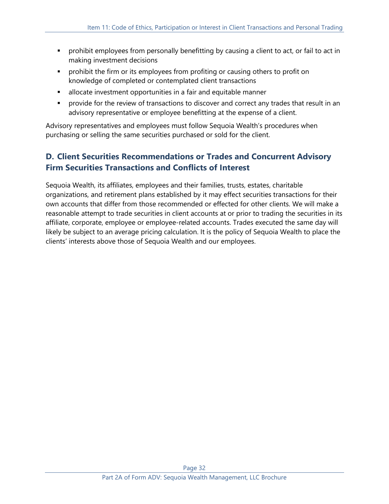- **•** prohibit employees from personally benefitting by causing a client to act, or fail to act in making investment decisions
- **•** prohibit the firm or its employees from profiting or causing others to profit on knowledge of completed or contemplated client transactions
- **EXEDEE** allocate investment opportunities in a fair and equitable manner
- **•** provide for the review of transactions to discover and correct any trades that result in an advisory representative or employee benefitting at the expense of a client.

Advisory representatives and employees must follow Sequoia Wealth's procedures when purchasing or selling the same securities purchased or sold for the client.

# **D. Client Securities Recommendations or Trades and Concurrent Advisory Firm Securities Transactions and Conflicts of Interest**

Sequoia Wealth, its affiliates, employees and their families, trusts, estates, charitable organizations, and retirement plans established by it may effect securities transactions for their own accounts that differ from those recommended or effected for other clients. We will make a reasonable attempt to trade securities in client accounts at or prior to trading the securities in its affiliate, corporate, employee or employee-related accounts. Trades executed the same day will likely be subject to an average pricing calculation. It is the policy of Sequoia Wealth to place the clients' interests above those of Sequoia Wealth and our employees.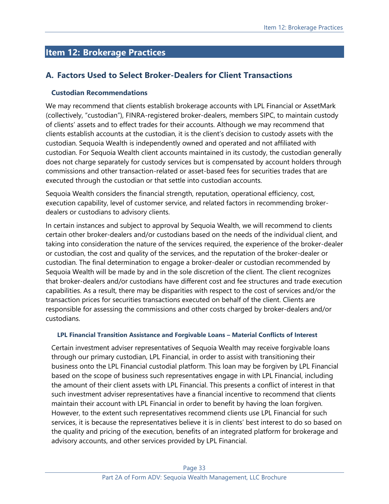# <span id="page-32-0"></span>**Item 12: Brokerage Practices**

## **A. Factors Used to Select Broker-Dealers for Client Transactions**

### **Custodian Recommendations**

We may recommend that clients establish brokerage accounts with LPL Financial or AssetMark (collectively, "custodian"), FINRA-registered broker-dealers, members SIPC, to maintain custody of clients' assets and to effect trades for their accounts. Although we may recommend that clients establish accounts at the custodian, it is the client's decision to custody assets with the custodian. Sequoia Wealth is independently owned and operated and not affiliated with custodian. For Sequoia Wealth client accounts maintained in its custody, the custodian generally does not charge separately for custody services but is compensated by account holders through commissions and other transaction-related or asset-based fees for securities trades that are executed through the custodian or that settle into custodian accounts.

Sequoia Wealth considers the financial strength, reputation, operational efficiency, cost, execution capability, level of customer service, and related factors in recommending brokerdealers or custodians to advisory clients.

In certain instances and subject to approval by Sequoia Wealth, we will recommend to clients certain other broker-dealers and/or custodians based on the needs of the individual client, and taking into consideration the nature of the services required, the experience of the broker-dealer or custodian, the cost and quality of the services, and the reputation of the broker-dealer or custodian. The final determination to engage a broker-dealer or custodian recommended by Sequoia Wealth will be made by and in the sole discretion of the client. The client recognizes that broker-dealers and/or custodians have different cost and fee structures and trade execution capabilities. As a result, there may be disparities with respect to the cost of services and/or the transaction prices for securities transactions executed on behalf of the client. Clients are responsible for assessing the commissions and other costs charged by broker-dealers and/or custodians.

#### **LPL Financial Transition Assistance and Forgivable Loans – Material Conflicts of Interest**

Certain investment adviser representatives of Sequoia Wealth may receive forgivable loans through our primary custodian, LPL Financial, in order to assist with transitioning their business onto the LPL Financial custodial platform. This loan may be forgiven by LPL Financial based on the scope of business such representatives engage in with LPL Financial, including the amount of their client assets with LPL Financial. This presents a conflict of interest in that such investment adviser representatives have a financial incentive to recommend that clients maintain their account with LPL Financial in order to benefit by having the loan forgiven. However, to the extent such representatives recommend clients use LPL Financial for such services, it is because the representatives believe it is in clients' best interest to do so based on the quality and pricing of the execution, benefits of an integrated platform for brokerage and advisory accounts, and other services provided by LPL Financial.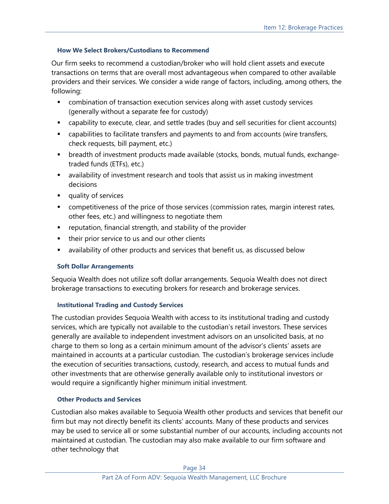### **How We Select Brokers/Custodians to Recommend**

Our firm seeks to recommend a custodian/broker who will hold client assets and execute transactions on terms that are overall most advantageous when compared to other available providers and their services. We consider a wide range of factors, including, among others, the following:

- **EXECOM** combination of transaction execution services along with asset custody services (generally without a separate fee for custody)
- capability to execute, clear, and settle trades (buy and sell securities for client accounts)
- **•** capabilities to facilitate transfers and payments to and from accounts (wire transfers, check requests, bill payment, etc.)
- breadth of investment products made available (stocks, bonds, mutual funds, exchangetraded funds (ETFs), etc.)
- availability of investment research and tools that assist us in making investment decisions
- quality of services
- **•** competitiveness of the price of those services (commission rates, margin interest rates, other fees, etc.) and willingness to negotiate them
- reputation, financial strength, and stability of the provider
- their prior service to us and our other clients
- **E** availability of other products and services that benefit us, as discussed below

### **Soft Dollar Arrangements**

Sequoia Wealth does not utilize soft dollar arrangements. Sequoia Wealth does not direct brokerage transactions to executing brokers for research and brokerage services.

### **Institutional Trading and Custody Services**

The custodian provides Sequoia Wealth with access to its institutional trading and custody services, which are typically not available to the custodian's retail investors. These services generally are available to independent investment advisors on an unsolicited basis, at no charge to them so long as a certain minimum amount of the advisor's clients' assets are maintained in accounts at a particular custodian. The custodian's brokerage services include the execution of securities transactions, custody, research, and access to mutual funds and other investments that are otherwise generally available only to institutional investors or would require a significantly higher minimum initial investment.

### **Other Products and Services**

Custodian also makes available to Sequoia Wealth other products and services that benefit our firm but may not directly benefit its clients' accounts. Many of these products and services may be used to service all or some substantial number of our accounts, including accounts not maintained at custodian. The custodian may also make available to our firm software and other technology that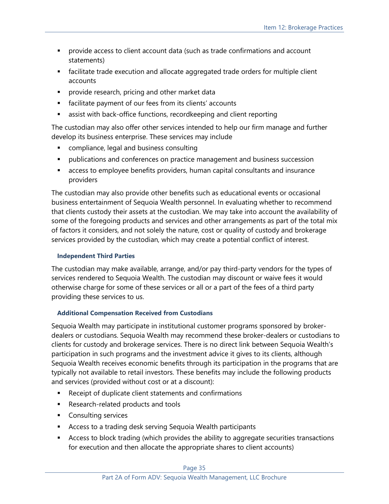- **•** provide access to client account data (such as trade confirmations and account statements)
- **■** facilitate trade execution and allocate aggregated trade orders for multiple client accounts
- **•** provide research, pricing and other market data
- facilitate payment of our fees from its clients' accounts
- assist with back-office functions, recordkeeping and client reporting

The custodian may also offer other services intended to help our firm manage and further develop its business enterprise. These services may include

- compliance, legal and business consulting
- **•** publications and conferences on practice management and business succession
- access to employee benefits providers, human capital consultants and insurance providers

The custodian may also provide other benefits such as educational events or occasional business entertainment of Sequoia Wealth personnel. In evaluating whether to recommend that clients custody their assets at the custodian. We may take into account the availability of some of the foregoing products and services and other arrangements as part of the total mix of factors it considers, and not solely the nature, cost or quality of custody and brokerage services provided by the custodian, which may create a potential conflict of interest.

### **Independent Third Parties**

The custodian may make available, arrange, and/or pay third-party vendors for the types of services rendered to Sequoia Wealth. The custodian may discount or waive fees it would otherwise charge for some of these services or all or a part of the fees of a third party providing these services to us.

## **Additional Compensation Received from Custodians**

Sequoia Wealth may participate in institutional customer programs sponsored by brokerdealers or custodians. Sequoia Wealth may recommend these broker-dealers or custodians to clients for custody and brokerage services. There is no direct link between Sequoia Wealth's participation in such programs and the investment advice it gives to its clients, although Sequoia Wealth receives economic benefits through its participation in the programs that are typically not available to retail investors. These benefits may include the following products and services (provided without cost or at a discount):

- Receipt of duplicate client statements and confirmations
- Research-related products and tools
- Consulting services
- Access to a trading desk serving Sequoia Wealth participants
- Access to block trading (which provides the ability to aggregate securities transactions for execution and then allocate the appropriate shares to client accounts)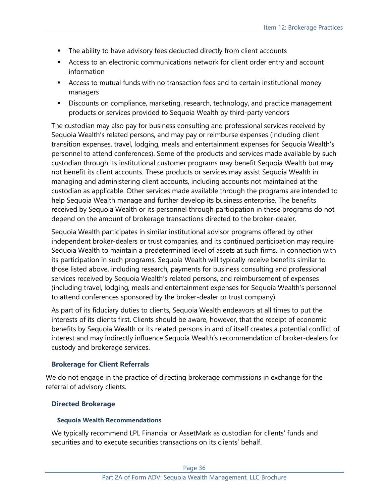- **•** The ability to have advisory fees deducted directly from client accounts
- **EXECO** Access to an electronic communications network for client order entry and account information
- **EXECO** FILM Access to mutual funds with no transaction fees and to certain institutional money managers
- **EXP** Discounts on compliance, marketing, research, technology, and practice management products or services provided to Sequoia Wealth by third-party vendors

The custodian may also pay for business consulting and professional services received by Sequoia Wealth's related persons, and may pay or reimburse expenses (including client transition expenses, travel, lodging, meals and entertainment expenses for Sequoia Wealth's personnel to attend conferences). Some of the products and services made available by such custodian through its institutional customer programs may benefit Sequoia Wealth but may not benefit its client accounts. These products or services may assist Sequoia Wealth in managing and administering client accounts, including accounts not maintained at the custodian as applicable. Other services made available through the programs are intended to help Sequoia Wealth manage and further develop its business enterprise. The benefits received by Sequoia Wealth or its personnel through participation in these programs do not depend on the amount of brokerage transactions directed to the broker-dealer.

Sequoia Wealth participates in similar institutional advisor programs offered by other independent broker-dealers or trust companies, and its continued participation may require Sequoia Wealth to maintain a predetermined level of assets at such firms. In connection with its participation in such programs, Sequoia Wealth will typically receive benefits similar to those listed above, including research, payments for business consulting and professional services received by Sequoia Wealth's related persons, and reimbursement of expenses (including travel, lodging, meals and entertainment expenses for Sequoia Wealth's personnel to attend conferences sponsored by the broker-dealer or trust company).

As part of its fiduciary duties to clients, Sequoia Wealth endeavors at all times to put the interests of its clients first. Clients should be aware, however, that the receipt of economic benefits by Sequoia Wealth or its related persons in and of itself creates a potential conflict of interest and may indirectly influence Sequoia Wealth's recommendation of broker-dealers for custody and brokerage services.

### **Brokerage for Client Referrals**

We do not engage in the practice of directing brokerage commissions in exchange for the referral of advisory clients.

### **Directed Brokerage**

#### **Sequoia Wealth Recommendations**

We typically recommend LPL Financial or AssetMark as custodian for clients' funds and securities and to execute securities transactions on its clients' behalf.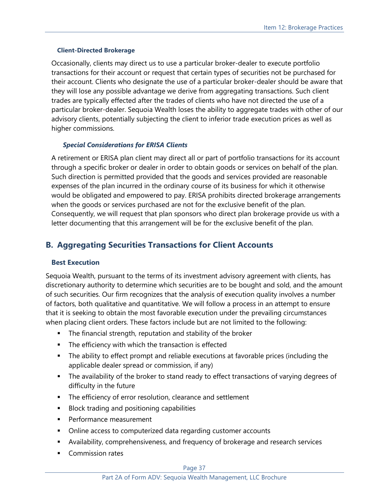#### **Client-Directed Brokerage**

Occasionally, clients may direct us to use a particular broker-dealer to execute portfolio transactions for their account or request that certain types of securities not be purchased for their account. Clients who designate the use of a particular broker-dealer should be aware that they will lose any possible advantage we derive from aggregating transactions. Such client trades are typically effected after the trades of clients who have not directed the use of a particular broker-dealer. Sequoia Wealth loses the ability to aggregate trades with other of our advisory clients, potentially subjecting the client to inferior trade execution prices as well as higher commissions.

#### *Special Considerations for ERISA Clients*

A retirement or ERISA plan client may direct all or part of portfolio transactions for its account through a specific broker or dealer in order to obtain goods or services on behalf of the plan. Such direction is permitted provided that the goods and services provided are reasonable expenses of the plan incurred in the ordinary course of its business for which it otherwise would be obligated and empowered to pay. ERISA prohibits directed brokerage arrangements when the goods or services purchased are not for the exclusive benefit of the plan. Consequently, we will request that plan sponsors who direct plan brokerage provide us with a letter documenting that this arrangement will be for the exclusive benefit of the plan.

## **B. Aggregating Securities Transactions for Client Accounts**

### **Best Execution**

Sequoia Wealth, pursuant to the terms of its investment advisory agreement with clients, has discretionary authority to determine which securities are to be bought and sold, and the amount of such securities. Our firm recognizes that the analysis of execution quality involves a number of factors, both qualitative and quantitative. We will follow a process in an attempt to ensure that it is seeking to obtain the most favorable execution under the prevailing circumstances when placing client orders. These factors include but are not limited to the following:

- The financial strength, reputation and stability of the broker
- The efficiency with which the transaction is effected
- **•** The ability to effect prompt and reliable executions at favorable prices (including the applicable dealer spread or commission, if any)
- **The availability of the broker to stand ready to effect transactions of varying degrees of** difficulty in the future
- **EXECT** The efficiency of error resolution, clearance and settlement
- Block trading and positioning capabilities
- Performance measurement
- Online access to computerized data regarding customer accounts
- Availability, comprehensiveness, and frequency of brokerage and research services
- Commission rates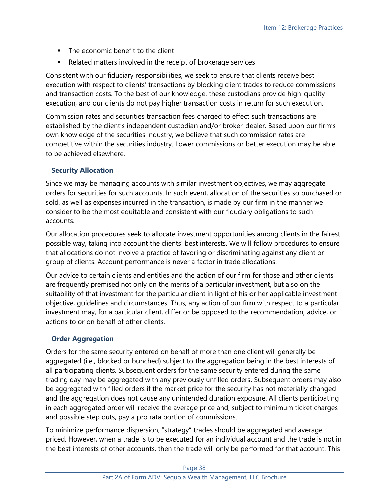- The economic benefit to the client
- Related matters involved in the receipt of brokerage services

Consistent with our fiduciary responsibilities, we seek to ensure that clients receive best execution with respect to clients' transactions by blocking client trades to reduce commissions and transaction costs. To the best of our knowledge, these custodians provide high-quality execution, and our clients do not pay higher transaction costs in return for such execution.

Commission rates and securities transaction fees charged to effect such transactions are established by the client's independent custodian and/or broker-dealer. Based upon our firm's own knowledge of the securities industry, we believe that such commission rates are competitive within the securities industry. Lower commissions or better execution may be able to be achieved elsewhere.

## **Security Allocation**

Since we may be managing accounts with similar investment objectives, we may aggregate orders for securities for such accounts. In such event, allocation of the securities so purchased or sold, as well as expenses incurred in the transaction, is made by our firm in the manner we consider to be the most equitable and consistent with our fiduciary obligations to such accounts.

Our allocation procedures seek to allocate investment opportunities among clients in the fairest possible way, taking into account the clients' best interests. We will follow procedures to ensure that allocations do not involve a practice of favoring or discriminating against any client or group of clients. Account performance is never a factor in trade allocations.

Our advice to certain clients and entities and the action of our firm for those and other clients are frequently premised not only on the merits of a particular investment, but also on the suitability of that investment for the particular client in light of his or her applicable investment objective, guidelines and circumstances. Thus, any action of our firm with respect to a particular investment may, for a particular client, differ or be opposed to the recommendation, advice, or actions to or on behalf of other clients.

### **Order Aggregation**

Orders for the same security entered on behalf of more than one client will generally be aggregated (i.e., blocked or bunched) subject to the aggregation being in the best interests of all participating clients. Subsequent orders for the same security entered during the same trading day may be aggregated with any previously unfilled orders. Subsequent orders may also be aggregated with filled orders if the market price for the security has not materially changed and the aggregation does not cause any unintended duration exposure. All clients participating in each aggregated order will receive the average price and, subject to minimum ticket charges and possible step outs, pay a pro rata portion of commissions.

To minimize performance dispersion, "strategy" trades should be aggregated and average priced. However, when a trade is to be executed for an individual account and the trade is not in the best interests of other accounts, then the trade will only be performed for that account. This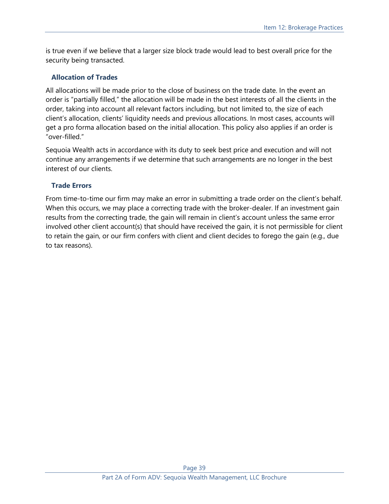is true even if we believe that a larger size block trade would lead to best overall price for the security being transacted.

### **Allocation of Trades**

All allocations will be made prior to the close of business on the trade date. In the event an order is "partially filled," the allocation will be made in the best interests of all the clients in the order, taking into account all relevant factors including, but not limited to, the size of each client's allocation, clients' liquidity needs and previous allocations. In most cases, accounts will get a pro forma allocation based on the initial allocation. This policy also applies if an order is "over-filled."

Sequoia Wealth acts in accordance with its duty to seek best price and execution and will not continue any arrangements if we determine that such arrangements are no longer in the best interest of our clients.

### **Trade Errors**

From time-to-time our firm may make an error in submitting a trade order on the client's behalf. When this occurs, we may place a correcting trade with the broker-dealer. If an investment gain results from the correcting trade, the gain will remain in client's account unless the same error involved other client account(s) that should have received the gain, it is not permissible for client to retain the gain, or our firm confers with client and client decides to forego the gain (e.g., due to tax reasons).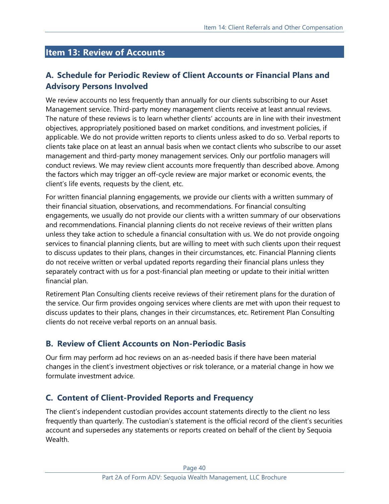# <span id="page-39-0"></span>**Item 13: Review of Accounts**

# **A. Schedule for Periodic Review of Client Accounts or Financial Plans and Advisory Persons Involved**

We review accounts no less frequently than annually for our clients subscribing to our Asset Management service. Third-party money management clients receive at least annual reviews. The nature of these reviews is to learn whether clients' accounts are in line with their investment objectives, appropriately positioned based on market conditions, and investment policies, if applicable. We do not provide written reports to clients unless asked to do so. Verbal reports to clients take place on at least an annual basis when we contact clients who subscribe to our asset management and third-party money management services. Only our portfolio managers will conduct reviews. We may review client accounts more frequently than described above. Among the factors which may trigger an off-cycle review are major market or economic events, the client's life events, requests by the client, etc.

For written financial planning engagements, we provide our clients with a written summary of their financial situation, observations, and recommendations. For financial consulting engagements, we usually do not provide our clients with a written summary of our observations and recommendations. Financial planning clients do not receive reviews of their written plans unless they take action to schedule a financial consultation with us. We do not provide ongoing services to financial planning clients, but are willing to meet with such clients upon their request to discuss updates to their plans, changes in their circumstances, etc. Financial Planning clients do not receive written or verbal updated reports regarding their financial plans unless they separately contract with us for a post-financial plan meeting or update to their initial written financial plan.

Retirement Plan Consulting clients receive reviews of their retirement plans for the duration of the service. Our firm provides ongoing services where clients are met with upon their request to discuss updates to their plans, changes in their circumstances, etc. Retirement Plan Consulting clients do not receive verbal reports on an annual basis.

## **B. Review of Client Accounts on Non-Periodic Basis**

Our firm may perform ad hoc reviews on an as-needed basis if there have been material changes in the client's investment objectives or risk tolerance, or a material change in how we formulate investment advice.

## **C. Content of Client-Provided Reports and Frequency**

The client's independent custodian provides account statements directly to the client no less frequently than quarterly. The custodian's statement is the official record of the client's securities account and supersedes any statements or reports created on behalf of the client by Sequoia Wealth.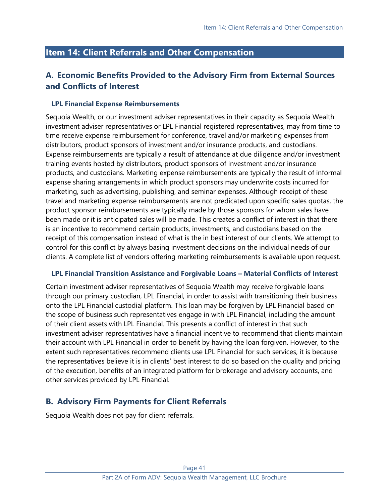# <span id="page-40-0"></span>**Item 14: Client Referrals and Other Compensation**

## **A. Economic Benefits Provided to the Advisory Firm from External Sources and Conflicts of Interest**

### **LPL Financial Expense Reimbursements**

Sequoia Wealth, or our investment adviser representatives in their capacity as Sequoia Wealth investment adviser representatives or LPL Financial registered representatives, may from time to time receive expense reimbursement for conference, travel and/or marketing expenses from distributors, product sponsors of investment and/or insurance products, and custodians. Expense reimbursements are typically a result of attendance at due diligence and/or investment training events hosted by distributors, product sponsors of investment and/or insurance products, and custodians. Marketing expense reimbursements are typically the result of informal expense sharing arrangements in which product sponsors may underwrite costs incurred for marketing, such as advertising, publishing, and seminar expenses. Although receipt of these travel and marketing expense reimbursements are not predicated upon specific sales quotas, the product sponsor reimbursements are typically made by those sponsors for whom sales have been made or it is anticipated sales will be made. This creates a conflict of interest in that there is an incentive to recommend certain products, investments, and custodians based on the receipt of this compensation instead of what is the in best interest of our clients. We attempt to control for this conflict by always basing investment decisions on the individual needs of our clients. A complete list of vendors offering marketing reimbursements is available upon request.

### **LPL Financial Transition Assistance and Forgivable Loans – Material Conflicts of Interest**

Certain investment adviser representatives of Sequoia Wealth may receive forgivable loans through our primary custodian, LPL Financial, in order to assist with transitioning their business onto the LPL Financial custodial platform. This loan may be forgiven by LPL Financial based on the scope of business such representatives engage in with LPL Financial, including the amount of their client assets with LPL Financial. This presents a conflict of interest in that such investment adviser representatives have a financial incentive to recommend that clients maintain their account with LPL Financial in order to benefit by having the loan forgiven. However, to the extent such representatives recommend clients use LPL Financial for such services, it is because the representatives believe it is in clients' best interest to do so based on the quality and pricing of the execution, benefits of an integrated platform for brokerage and advisory accounts, and other services provided by LPL Financial.

## **B. Advisory Firm Payments for Client Referrals**

Sequoia Wealth does not pay for client referrals.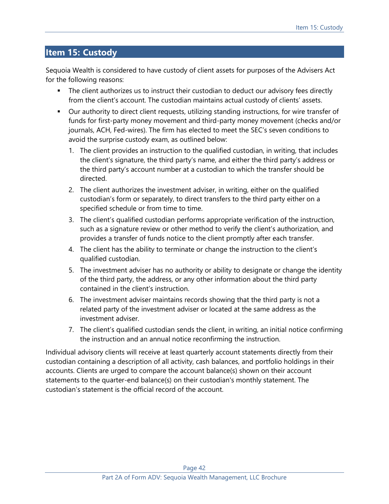# <span id="page-41-0"></span>**Item 15: Custody**

Sequoia Wealth is considered to have custody of client assets for purposes of the Advisers Act for the following reasons:

- **The client authorizes us to instruct their custodian to deduct our advisory fees directly** from the client's account. The custodian maintains actual custody of clients' assets.
- Our authority to direct client requests, utilizing standing instructions, for wire transfer of funds for first-party money movement and third-party money movement (checks and/or journals, ACH, Fed-wires). The firm has elected to meet the SEC's seven conditions to avoid the surprise custody exam, as outlined below:
	- 1. The client provides an instruction to the qualified custodian, in writing, that includes the client's signature, the third party's name, and either the third party's address or the third party's account number at a custodian to which the transfer should be directed.
	- 2. The client authorizes the investment adviser, in writing, either on the qualified custodian's form or separately, to direct transfers to the third party either on a specified schedule or from time to time.
	- 3. The client's qualified custodian performs appropriate verification of the instruction, such as a signature review or other method to verify the client's authorization, and provides a transfer of funds notice to the client promptly after each transfer.
	- 4. The client has the ability to terminate or change the instruction to the client's qualified custodian.
	- 5. The investment adviser has no authority or ability to designate or change the identity of the third party, the address, or any other information about the third party contained in the client's instruction.
	- 6. The investment adviser maintains records showing that the third party is not a related party of the investment adviser or located at the same address as the investment adviser.
	- 7. The client's qualified custodian sends the client, in writing, an initial notice confirming the instruction and an annual notice reconfirming the instruction.

Individual advisory clients will receive at least quarterly account statements directly from their custodian containing a description of all activity, cash balances, and portfolio holdings in their accounts. Clients are urged to compare the account balance(s) shown on their account statements to the quarter-end balance(s) on their custodian's monthly statement. The custodian's statement is the official record of the account.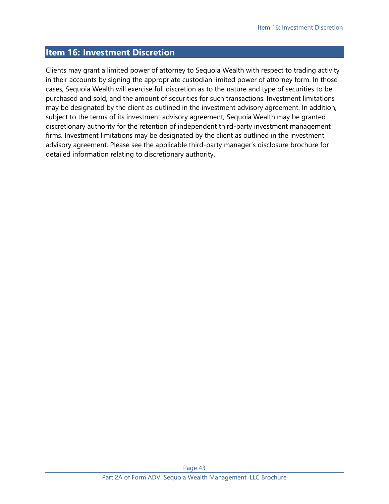## <span id="page-42-0"></span>**Item 16: Investment Discretion**

Clients may grant a limited power of attorney to Sequoia Wealth with respect to trading activity in their accounts by signing the appropriate custodian limited power of attorney form. In those cases, Sequoia Wealth will exercise full discretion as to the nature and type of securities to be purchased and sold, and the amount of securities for such transactions. Investment limitations may be designated by the client as outlined in the investment advisory agreement. In addition, subject to the terms of its investment advisory agreement, Sequoia Wealth may be granted discretionary authority for the retention of independent third-party investment management firms. Investment limitations may be designated by the client as outlined in the investment advisory agreement. Please see the applicable third-party manager's disclosure brochure for detailed information relating to discretionary authority.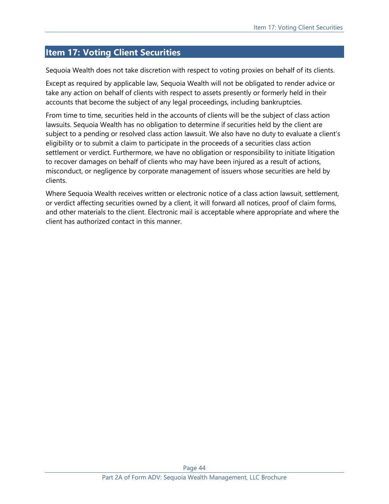# <span id="page-43-0"></span>**Item 17: Voting Client Securities**

Sequoia Wealth does not take discretion with respect to voting proxies on behalf of its clients.

Except as required by applicable law, Sequoia Wealth will not be obligated to render advice or take any action on behalf of clients with respect to assets presently or formerly held in their accounts that become the subject of any legal proceedings, including bankruptcies.

From time to time, securities held in the accounts of clients will be the subject of class action lawsuits. Sequoia Wealth has no obligation to determine if securities held by the client are subject to a pending or resolved class action lawsuit. We also have no duty to evaluate a client's eligibility or to submit a claim to participate in the proceeds of a securities class action settlement or verdict. Furthermore, we have no obligation or responsibility to initiate litigation to recover damages on behalf of clients who may have been injured as a result of actions, misconduct, or negligence by corporate management of issuers whose securities are held by clients.

Where Sequoia Wealth receives written or electronic notice of a class action lawsuit, settlement, or verdict affecting securities owned by a client, it will forward all notices, proof of claim forms, and other materials to the client. Electronic mail is acceptable where appropriate and where the client has authorized contact in this manner.